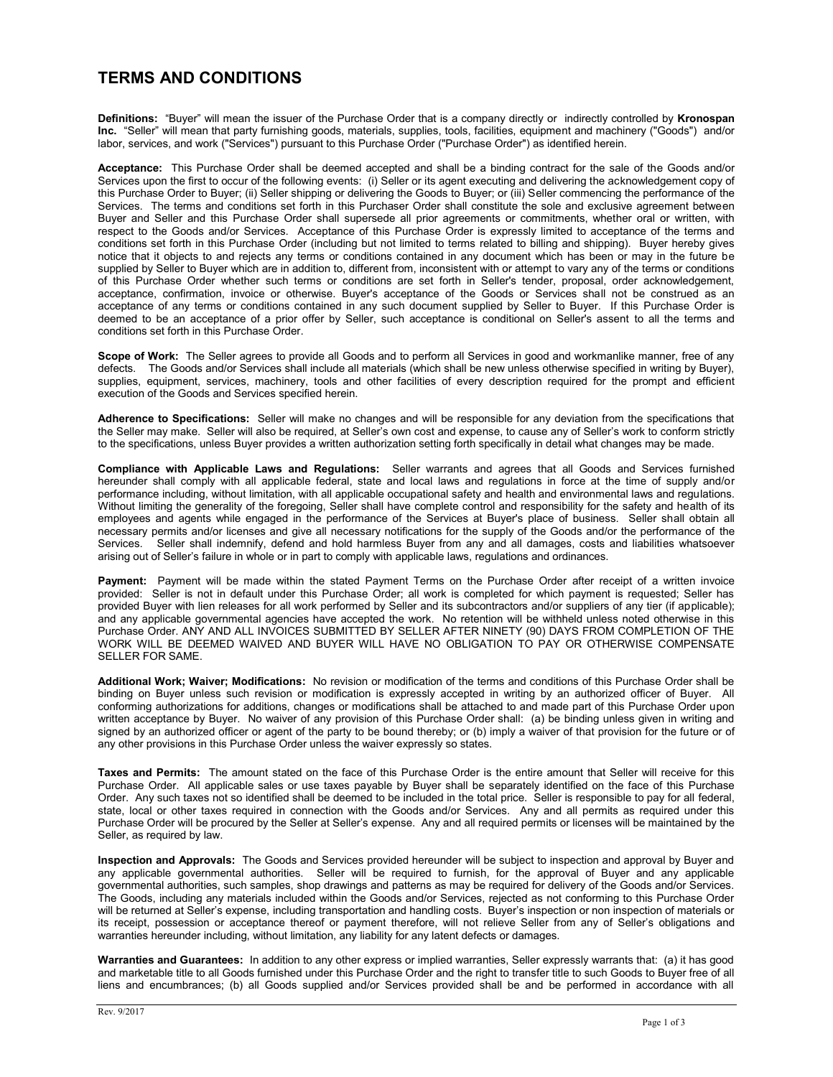## **TERMS AND CONDITIONS**

**Definitions:** "Buyer" will mean the issuer of the Purchase Order that is a company directly or indirectly controlled by **Kronospan Inc.** "Seller" will mean that party furnishing goods, materials, supplies, tools, facilities, equipment and machinery ("Goods") and/or labor, services, and work ("Services") pursuant to this Purchase Order ("Purchase Order") as identified herein.

**Acceptance:** This Purchase Order shall be deemed accepted and shall be a binding contract for the sale of the Goods and/or Services upon the first to occur of the following events: (i) Seller or its agent executing and delivering the acknowledgement copy of this Purchase Order to Buyer; (ii) Seller shipping or delivering the Goods to Buyer; or (iii) Seller commencing the performance of the Services. The terms and conditions set forth in this Purchaser Order shall constitute the sole and exclusive agreement between Buyer and Seller and this Purchase Order shall supersede all prior agreements or commitments, whether oral or written, with respect to the Goods and/or Services. Acceptance of this Purchase Order is expressly limited to acceptance of the terms and conditions set forth in this Purchase Order (including but not limited to terms related to billing and shipping). Buyer hereby gives notice that it objects to and rejects any terms or conditions contained in any document which has been or may in the future be supplied by Seller to Buyer which are in addition to, different from, inconsistent with or attempt to vary any of the terms or conditions of this Purchase Order whether such terms or conditions are set forth in Seller's tender, proposal, order acknowledgement, acceptance, confirmation, invoice or otherwise. Buyer's acceptance of the Goods or Services shall not be construed as an acceptance of any terms or conditions contained in any such document supplied by Seller to Buyer. If this Purchase Order is deemed to be an acceptance of a prior offer by Seller, such acceptance is conditional on Seller's assent to all the terms and conditions set forth in this Purchase Order.

**Scope of Work:** The Seller agrees to provide all Goods and to perform all Services in good and workmanlike manner, free of any defects. The Goods and/or Services shall include all materials (which shall be new unless otherwise specified in writing by Buyer), supplies, equipment, services, machinery, tools and other facilities of every description required for the prompt and efficient execution of the Goods and Services specified herein.

**Adherence to Specifications:** Seller will make no changes and will be responsible for any deviation from the specifications that the Seller may make. Seller will also be required, at Seller's own cost and expense, to cause any of Seller's work to conform strictly to the specifications, unless Buyer provides a written authorization setting forth specifically in detail what changes may be made.

**Compliance with Applicable Laws and Regulations:** Seller warrants and agrees that all Goods and Services furnished hereunder shall comply with all applicable federal, state and local laws and regulations in force at the time of supply and/or performance including, without limitation, with all applicable occupational safety and health and environmental laws and regulations. Without limiting the generality of the foregoing, Seller shall have complete control and responsibility for the safety and health of its employees and agents while engaged in the performance of the Services at Buyer's place of business. Seller shall obtain all necessary permits and/or licenses and give all necessary notifications for the supply of the Goods and/or the performance of the Services. Seller shall indemnify, defend and hold harmless Buyer from any and all damages, costs and liabilities whatsoever arising out of Seller's failure in whole or in part to comply with applicable laws, regulations and ordinances.

**Payment:** Payment will be made within the stated Payment Terms on the Purchase Order after receipt of a written invoice provided: Seller is not in default under this Purchase Order; all work is completed for which payment is requested; Seller has provided Buyer with lien releases for all work performed by Seller and its subcontractors and/or suppliers of any tier (if applicable); and any applicable governmental agencies have accepted the work. No retention will be withheld unless noted otherwise in this Purchase Order. ANY AND ALL INVOICES SUBMITTED BY SELLER AFTER NINETY (90) DAYS FROM COMPLETION OF THE WORK WILL BE DEEMED WAIVED AND BUYER WILL HAVE NO OBLIGATION TO PAY OR OTHERWISE COMPENSATE SELLER FOR SAME.

**Additional Work; Waiver; Modifications:** No revision or modification of the terms and conditions of this Purchase Order shall be binding on Buyer unless such revision or modification is expressly accepted in writing by an authorized officer of Buyer. All conforming authorizations for additions, changes or modifications shall be attached to and made part of this Purchase Order upon written acceptance by Buyer. No waiver of any provision of this Purchase Order shall: (a) be binding unless given in writing and signed by an authorized officer or agent of the party to be bound thereby; or (b) imply a waiver of that provision for the future or of any other provisions in this Purchase Order unless the waiver expressly so states.

**Taxes and Permits:** The amount stated on the face of this Purchase Order is the entire amount that Seller will receive for this Purchase Order. All applicable sales or use taxes payable by Buyer shall be separately identified on the face of this Purchase Order. Any such taxes not so identified shall be deemed to be included in the total price. Seller is responsible to pay for all federal, state, local or other taxes required in connection with the Goods and/or Services. Any and all permits as required under this Purchase Order will be procured by the Seller at Seller's expense. Any and all required permits or licenses will be maintained by the Seller, as required by law.

**Inspection and Approvals:** The Goods and Services provided hereunder will be subject to inspection and approval by Buyer and any applicable governmental authorities. Seller will be required to furnish, for the approval of Buyer and any applicable governmental authorities, such samples, shop drawings and patterns as may be required for delivery of the Goods and/or Services. The Goods, including any materials included within the Goods and/or Services, rejected as not conforming to this Purchase Order will be returned at Seller's expense, including transportation and handling costs. Buyer's inspection or non inspection of materials or its receipt, possession or acceptance thereof or payment therefore, will not relieve Seller from any of Seller's obligations and warranties hereunder including, without limitation, any liability for any latent defects or damages.

**Warranties and Guarantees:** In addition to any other express or implied warranties, Seller expressly warrants that: (a) it has good and marketable title to all Goods furnished under this Purchase Order and the right to transfer title to such Goods to Buyer free of all liens and encumbrances; (b) all Goods supplied and/or Services provided shall be and be performed in accordance with all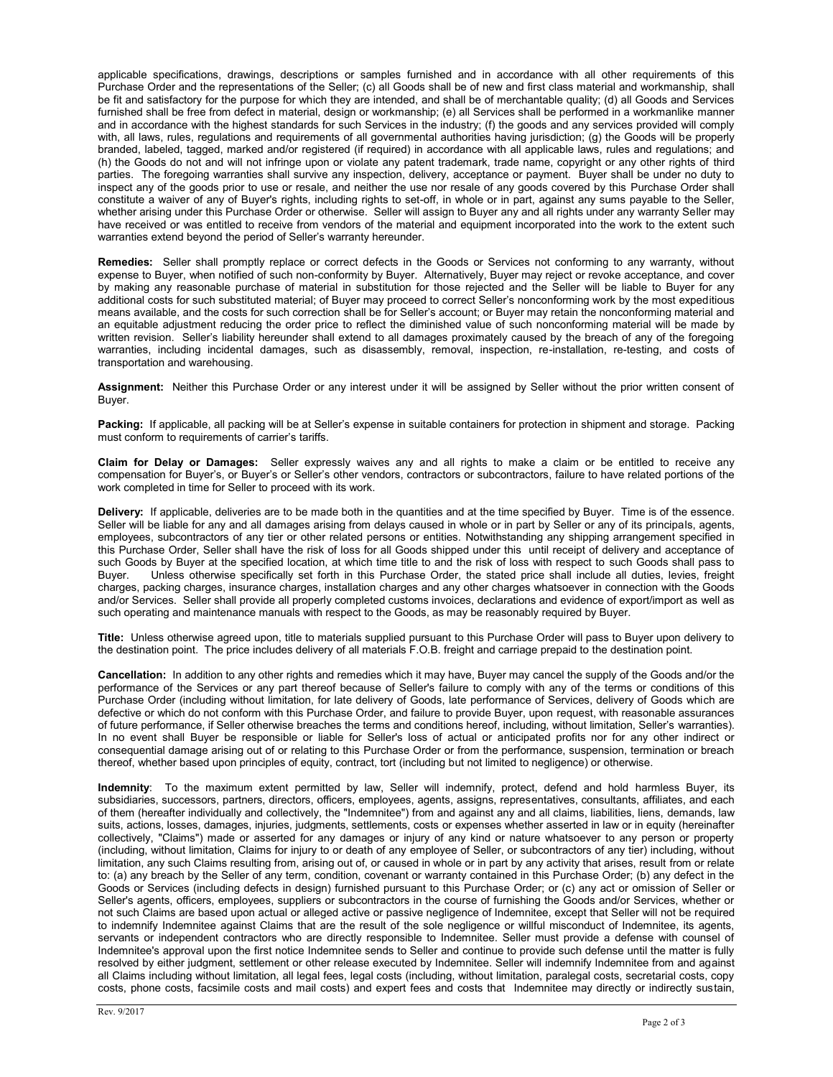applicable specifications, drawings, descriptions or samples furnished and in accordance with all other requirements of this Purchase Order and the representations of the Seller; (c) all Goods shall be of new and first class material and workmanship, shall be fit and satisfactory for the purpose for which they are intended, and shall be of merchantable quality; (d) all Goods and Services furnished shall be free from defect in material, design or workmanship; (e) all Services shall be performed in a workmanlike manner and in accordance with the highest standards for such Services in the industry; (f) the goods and any services provided will comply with, all laws, rules, requlations and requirements of all governmental authorities having jurisdiction; (g) the Goods will be properly branded, labeled, tagged, marked and/or registered (if required) in accordance with all applicable laws, rules and regulations; and (h) the Goods do not and will not infringe upon or violate any patent trademark, trade name, copyright or any other rights of third parties. The foregoing warranties shall survive any inspection, delivery, acceptance or payment. Buyer shall be under no duty to inspect any of the goods prior to use or resale, and neither the use nor resale of any goods covered by this Purchase Order shall constitute a waiver of any of Buyer's rights, including rights to set-off, in whole or in part, against any sums payable to the Seller, whether arising under this Purchase Order or otherwise. Seller will assign to Buyer any and all rights under any warranty Seller may have received or was entitled to receive from vendors of the material and equipment incorporated into the work to the extent such warranties extend beyond the period of Seller's warranty hereunder.

**Remedies:** Seller shall promptly replace or correct defects in the Goods or Services not conforming to any warranty, without expense to Buyer, when notified of such non-conformity by Buyer. Alternatively, Buyer may reject or revoke acceptance, and cover by making any reasonable purchase of material in substitution for those rejected and the Seller will be liable to Buyer for any additional costs for such substituted material; of Buyer may proceed to correct Seller's nonconforming work by the most expeditious means available, and the costs for such correction shall be for Seller's account; or Buyer may retain the nonconforming material and an equitable adjustment reducing the order price to reflect the diminished value of such nonconforming material will be made by written revision. Seller's liability hereunder shall extend to all damages proximately caused by the breach of any of the foregoing warranties, including incidental damages, such as disassembly, removal, inspection, re-installation, re-testing, and costs of transportation and warehousing.

**Assignment:** Neither this Purchase Order or any interest under it will be assigned by Seller without the prior written consent of Buyer.

**Packing:** If applicable, all packing will be at Seller's expense in suitable containers for protection in shipment and storage. Packing must conform to requirements of carrier's tariffs.

**Claim for Delay or Damages:** Seller expressly waives any and all rights to make a claim or be entitled to receive any compensation for Buyer's, or Buyer's or Seller's other vendors, contractors or subcontractors, failure to have related portions of the work completed in time for Seller to proceed with its work.

**Delivery:** If applicable, deliveries are to be made both in the quantities and at the time specified by Buyer. Time is of the essence. Seller will be liable for any and all damages arising from delays caused in whole or in part by Seller or any of its principals, agents, employees, subcontractors of any tier or other related persons or entities. Notwithstanding any shipping arrangement specified in this Purchase Order, Seller shall have the risk of loss for all Goods shipped under this until receipt of delivery and acceptance of such Goods by Buyer at the specified location, at which time title to and the risk of loss with respect to such Goods shall pass to Buyer. Unless otherwise specifically set forth in this Purchase Order, the stated price sh Unless otherwise specifically set forth in this Purchase Order, the stated price shall include all duties, levies, freight charges, packing charges, insurance charges, installation charges and any other charges whatsoever in connection with the Goods and/or Services. Seller shall provide all properly completed customs invoices, declarations and evidence of export/import as well as such operating and maintenance manuals with respect to the Goods, as may be reasonably required by Buyer.

**Title:** Unless otherwise agreed upon, title to materials supplied pursuant to this Purchase Order will pass to Buyer upon delivery to the destination point. The price includes delivery of all materials F.O.B. freight and carriage prepaid to the destination point.

**Cancellation:** In addition to any other rights and remedies which it may have, Buyer may cancel the supply of the Goods and/or the performance of the Services or any part thereof because of Seller's failure to comply with any of the terms or conditions of this Purchase Order (including without limitation, for late delivery of Goods, late performance of Services, delivery of Goods which are defective or which do not conform with this Purchase Order, and failure to provide Buyer, upon request, with reasonable assurances of future performance, if Seller otherwise breaches the terms and conditions hereof, including, without limitation, Seller's warranties). In no event shall Buyer be responsible or liable for Seller's loss of actual or anticipated profits nor for any other indirect or consequential damage arising out of or relating to this Purchase Order or from the performance, suspension, termination or breach thereof, whether based upon principles of equity, contract, tort (including but not limited to negligence) or otherwise.

**Indemnity**: To the maximum extent permitted by law, Seller will indemnify, protect, defend and hold harmless Buyer, its subsidiaries, successors, partners, directors, officers, employees, agents, assigns, representatives, consultants, affiliates, and each of them (hereafter individually and collectively, the "Indemnitee") from and against any and all claims, liabilities, liens, demands, law suits, actions, losses, damages, injuries, judgments, settlements, costs or expenses whether asserted in law or in equity (hereinafter collectively, "Claims") made or asserted for any damages or injury of any kind or nature whatsoever to any person or property (including, without limitation, Claims for injury to or death of any employee of Seller, or subcontractors of any tier) including, without limitation, any such Claims resulting from, arising out of, or caused in whole or in part by any activity that arises, result from or relate to: (a) any breach by the Seller of any term, condition, covenant or warranty contained in this Purchase Order; (b) any defect in the Goods or Services (including defects in design) furnished pursuant to this Purchase Order; or (c) any act or omission of Seller or Seller's agents, officers, employees, suppliers or subcontractors in the course of furnishing the Goods and/or Services, whether or not such Claims are based upon actual or alleged active or passive negligence of Indemnitee, except that Seller will not be required to indemnify Indemnitee against Claims that are the result of the sole negligence or willful misconduct of Indemnitee, its agents, servants or independent contractors who are directly responsible to Indemnitee. Seller must provide a defense with counsel of Indemnitee's approval upon the first notice Indemnitee sends to Seller and continue to provide such defense until the matter is fully resolved by either judgment, settlement or other release executed by Indemnitee. Seller will indemnify Indemnitee from and against all Claims including without limitation, all legal fees, legal costs (including, without limitation, paralegal costs, secretarial costs, copy costs, phone costs, facsimile costs and mail costs) and expert fees and costs that Indemnitee may directly or indirectly sustain,